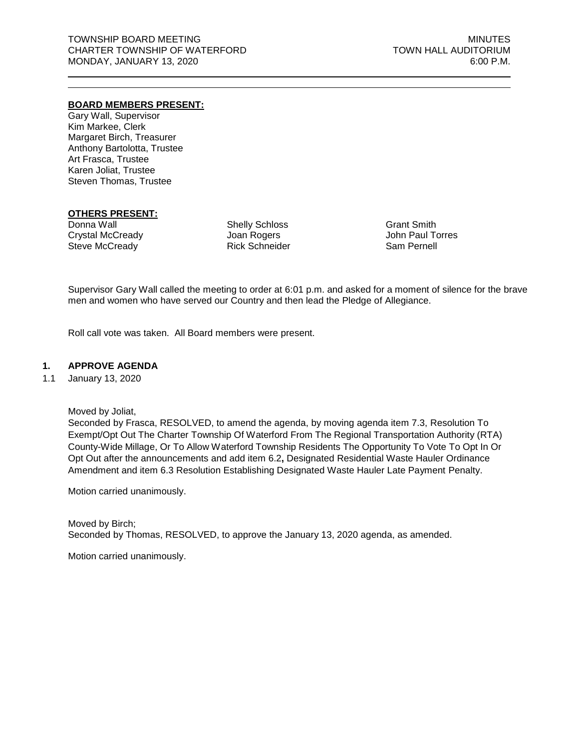## **BOARD MEMBERS PRESENT:**

Gary Wall, Supervisor Kim Markee, Clerk Margaret Birch, Treasurer Anthony Bartolotta, Trustee Art Frasca, Trustee Karen Joliat, Trustee Steven Thomas, Trustee

# **OTHERS PRESENT:**

Donna Wall Crystal McCready Steve McCready

Shelly Schloss Joan Rogers Rick Schneider Grant Smith John Paul Torres Sam Pernell

Supervisor Gary Wall called the meeting to order at 6:01 p.m. and asked for a moment of silence for the brave men and women who have served our Country and then lead the Pledge of Allegiance.

Roll call vote was taken. All Board members were present.

## **1. APPROVE AGENDA**

1.1 January 13, 2020

Moved by Joliat,

Seconded by Frasca, RESOLVED, to amend the agenda, by moving agenda item 7.3, Resolution To Exempt/Opt Out The Charter Township Of Waterford From The Regional Transportation Authority (RTA) County-Wide Millage, Or To Allow Waterford Township Residents The Opportunity To Vote To Opt In Or Opt Out after the announcements and add item 6.2**,** Designated Residential Waste Hauler Ordinance Amendment and item 6.3 Resolution Establishing Designated Waste Hauler Late Payment Penalty.

Motion carried unanimously.

Moved by Birch; Seconded by Thomas, RESOLVED, to approve the January 13, 2020 agenda, as amended.

Motion carried unanimously.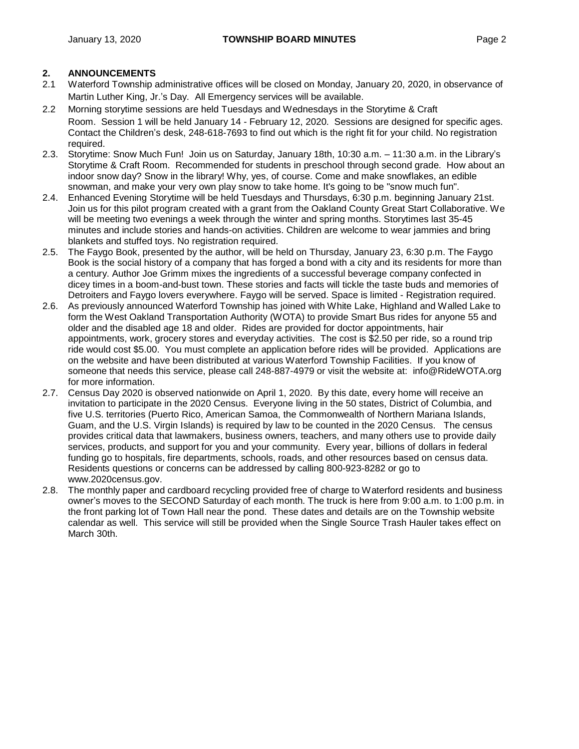- 2.1 Waterford Township administrative offices will be closed on Monday, January 20, 2020, in observance of Martin Luther King, Jr.'s Day. All Emergency services will be available.
- 2.2 Morning storytime sessions are held Tuesdays and Wednesdays in the Storytime & Craft Room. Session 1 will be held January 14 - February 12, 2020. Sessions are designed for specific ages. Contact the Children's desk, 248-618-7693 to find out which is the right fit for your child. No registration required.
- 2.3. Storytime: Snow Much Fun! Join us on Saturday, January 18th, 10:30 a.m. 11:30 a.m. in the Library's Storytime & Craft Room. Recommended for students in preschool through second grade. How about an indoor snow day? Snow in the library! Why, yes, of course. Come and make snowflakes, an edible snowman, and make your very own play snow to take home. It's going to be "snow much fun".
- 2.4. Enhanced Evening Storytime will be held Tuesdays and Thursdays, 6:30 p.m. beginning January 21st. Join us for this pilot program created with a grant from the Oakland County Great Start Collaborative. We will be meeting two evenings a week through the winter and spring months. Storytimes last 35-45 minutes and include stories and hands-on activities. Children are welcome to wear jammies and bring blankets and stuffed toys. No registration required.
- 2.5. The Faygo Book, presented by the author, will be held on Thursday, January 23, 6:30 p.m. The Faygo Book is the social history of a company that has forged a bond with a city and its residents for more than a century. Author Joe Grimm mixes the ingredients of a successful beverage company confected in dicey times in a boom-and-bust town. These stories and facts will tickle the taste buds and memories of Detroiters and Faygo lovers everywhere. Faygo will be served. Space is limited - Registration required.
- 2.6. As previously announced Waterford Township has joined with White Lake, Highland and Walled Lake to form the West Oakland Transportation Authority (WOTA) to provide Smart Bus rides for anyone 55 and older and the disabled age 18 and older. Rides are provided for doctor appointments, hair appointments, work, grocery stores and everyday activities. The cost is \$2.50 per ride, so a round trip ride would cost \$5.00. You must complete an application before rides will be provided. Applications are on the website and have been distributed at various Waterford Township Facilities. If you know of someone that needs this service, please call 248-887-4979 or visit the website at: [info@RideWOTA.org](mailto:info@RideWOTA.org) for more information.
- 2.7. Census Day 2020 is observed nationwide on April 1, 2020. By this date, every home will receive an invitation to participate in the 2020 Census. Everyone living in the 50 states, District of Columbia, and five U.S. territories (Puerto Rico, American Samoa, the Commonwealth of Northern Mariana Islands, Guam, and the U.S. Virgin Islands) is required by law to be counted in the 2020 Census. The census provides critical data that lawmakers, business owners, teachers, and many others use to provide daily services, products, and support for you and your community. Every year, billions of dollars in federal funding go to hospitals, fire departments, schools, roads, and other resources based on census data. Residents questions or concerns can be addressed by calling 800-923-8282 or go to [www.2020census.gov.](http://www.2020census.gov/)
- 2.8. The monthly paper and cardboard recycling provided free of charge to Waterford residents and business owner's moves to the SECOND Saturday of each month. The truck is here from 9:00 a.m. to 1:00 p.m. in the front parking lot of Town Hall near the pond. These dates and details are on the Township website calendar as well. This service will still be provided when the Single Source Trash Hauler takes effect on March 30th.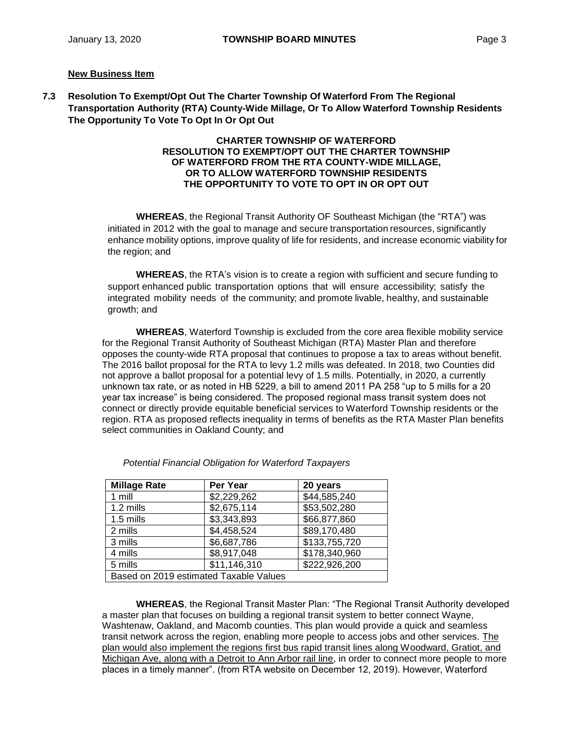## **New Business Item**

**7.3 Resolution To Exempt/Opt Out The Charter Township Of Waterford From The Regional Transportation Authority (RTA) County-Wide Millage, Or To Allow Waterford Township Residents The Opportunity To Vote To Opt In Or Opt Out**

#### **CHARTER TOWNSHIP OF WATERFORD RESOLUTION TO EXEMPT/OPT OUT THE CHARTER TOWNSHIP OF WATERFORD FROM THE RTA COUNTY-WIDE MILLAGE, OR TO ALLOW WATERFORD TOWNSHIP RESIDENTS THE OPPORTUNITY TO VOTE TO OPT IN OR OPT OUT**

**WHEREAS**, the Regional Transit Authority OF Southeast Michigan (the "RTA") was initiated in 2012 with the goal to manage and secure transportation resources, significantly enhance mobility options, improve quality of life for residents, and increase economic viability for the region; and

**WHEREAS**, the RTA's vision is to create a region with sufficient and secure funding to support enhanced public transportation options that will ensure accessibility; satisfy the integrated mobility needs of the community; and promote livable, healthy, and sustainable growth; and

**WHEREAS**, Waterford Township is excluded from the core area flexible mobility service for the Regional Transit Authority of Southeast Michigan (RTA) Master Plan and therefore opposes the county-wide RTA proposal that continues to propose a tax to areas without benefit. The 2016 ballot proposal for the RTA to levy 1.2 mills was defeated. In 2018, two Counties did not approve a ballot proposal for a potential levy of 1.5 mills. Potentially, in 2020, a currently unknown tax rate, or as noted in HB 5229, a bill to amend 2011 PA 258 "up to 5 mills for a 20 year tax increase" is being considered. The proposed regional mass transit system does not connect or directly provide equitable beneficial services to Waterford Township residents or the region. RTA as proposed reflects inequality in terms of benefits as the RTA Master Plan benefits select communities in Oakland County; and

| <b>Millage Rate</b>                    | Per Year     | 20 years      |
|----------------------------------------|--------------|---------------|
| 1 mill                                 | \$2,229,262  | \$44,585,240  |
| 1.2 mills                              | \$2,675,114  | \$53,502,280  |
| 1.5 mills                              | \$3,343,893  | \$66,877,860  |
| 2 mills                                | \$4,458,524  | \$89,170,480  |
| 3 mills                                | \$6,687,786  | \$133,755,720 |
| 4 mills                                | \$8,917,048  | \$178,340,960 |
| 5 mills                                | \$11,146,310 | \$222,926,200 |
| Based on 2019 estimated Taxable Values |              |               |

*Potential Financial Obligation for Waterford Taxpayers*

**WHEREAS**, the Regional Transit Master Plan: "The Regional Transit Authority developed a master plan that focuses on building a regional transit system to better connect Wayne, Washtenaw, Oakland, and Macomb counties. This plan would provide a quick and seamless transit network across the region, enabling more people to access jobs and other services. The plan would also implement the regions first bus rapid transit lines along Woodward, Gratiot, and Michigan Ave, along with a Detroit to Ann Arbor rail line, in order to connect more people to more places in a timely manner". (from RTA website on December 12, 2019). However, Waterford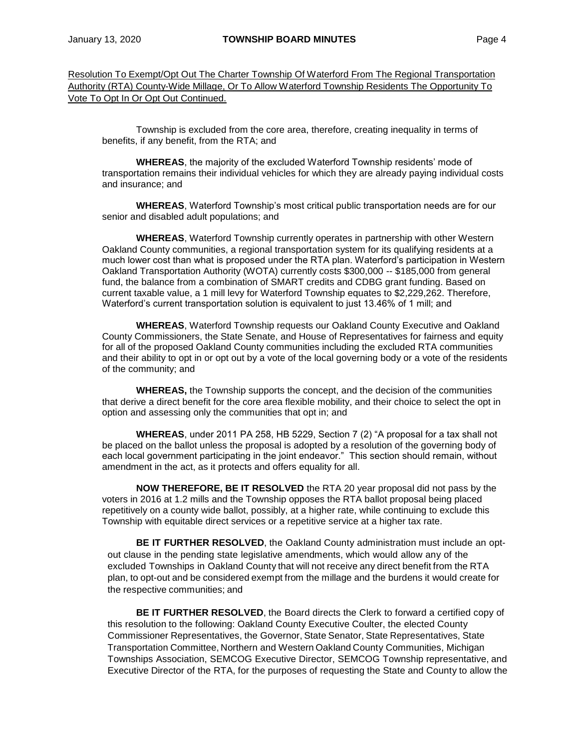Resolution To Exempt/Opt Out The Charter Township Of Waterford From The Regional Transportation Authority (RTA) County-Wide Millage, Or To Allow Waterford Township Residents The Opportunity To Vote To Opt In Or Opt Out Continued.

Township is excluded from the core area, therefore, creating inequality in terms of benefits, if any benefit, from the RTA; and

**WHEREAS**, the majority of the excluded Waterford Township residents' mode of transportation remains their individual vehicles for which they are already paying individual costs and insurance; and

**WHEREAS**, Waterford Township's most critical public transportation needs are for our senior and disabled adult populations; and

**WHEREAS**, Waterford Township currently operates in partnership with other Western Oakland County communities, a regional transportation system for its qualifying residents at a much lower cost than what is proposed under the RTA plan. Waterford's participation in Western Oakland Transportation Authority (WOTA) currently costs \$300,000 -- \$185,000 from general fund, the balance from a combination of SMART credits and CDBG grant funding. Based on current taxable value, a 1 mill levy for Waterford Township equates to \$2,229,262. Therefore, Waterford's current transportation solution is equivalent to just 13.46% of 1 mill; and

**WHEREAS**, Waterford Township requests our Oakland County Executive and Oakland County Commissioners, the State Senate, and House of Representatives for fairness and equity for all of the proposed Oakland County communities including the excluded RTA communities and their ability to opt in or opt out by a vote of the local governing body or a vote of the residents of the community; and

**WHEREAS,** the Township supports the concept, and the decision of the communities that derive a direct benefit for the core area flexible mobility, and their choice to select the opt in option and assessing only the communities that opt in; and

**WHEREAS**, under 2011 PA 258, HB 5229, Section 7 (2) "A proposal for a tax shall not be placed on the ballot unless the proposal is adopted by a resolution of the governing body of each local government participating in the joint endeavor." This section should remain, without amendment in the act, as it protects and offers equality for all.

**NOW THEREFORE, BE IT RESOLVED** the RTA 20 year proposal did not pass by the voters in 2016 at 1.2 mills and the Township opposes the RTA ballot proposal being placed repetitively on a county wide ballot, possibly, at a higher rate, while continuing to exclude this Township with equitable direct services or a repetitive service at a higher tax rate.

**BE IT FURTHER RESOLVED**, the Oakland County administration must include an optout clause in the pending state legislative amendments, which would allow any of the excluded Townships in Oakland County that will not receive any direct benefit from the RTA plan, to opt-out and be considered exempt from the millage and the burdens it would create for the respective communities; and

**BE IT FURTHER RESOLVED**, the Board directs the Clerk to forward a certified copy of this resolution to the following: Oakland County Executive Coulter, the elected County Commissioner Representatives, the Governor, State Senator, State Representatives, State Transportation Committee, Northern and Western Oakland County Communities, Michigan Townships Association, SEMCOG Executive Director, SEMCOG Township representative, and Executive Director of the RTA, for the purposes of requesting the State and County to allow the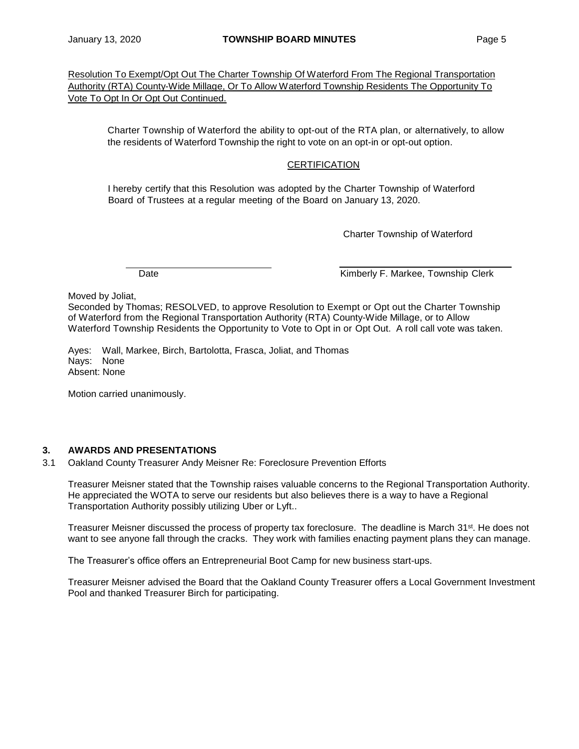Resolution To Exempt/Opt Out The Charter Township Of Waterford From The Regional Transportation Authority (RTA) County-Wide Millage, Or To Allow Waterford Township Residents The Opportunity To Vote To Opt In Or Opt Out Continued.

Charter Township of Waterford the ability to opt-out of the RTA plan, or alternatively, to allow the residents of Waterford Township the right to vote on an opt-in or opt-out option.

# **CERTIFICATION**

I hereby certify that this Resolution was adopted by the Charter Township of Waterford Board of Trustees at a regular meeting of the Board on January 13, 2020.

Charter Township of Waterford

Date **Contract Contract Contract Contract Contract Contract Contract Contract Contract Contract Contract Contract Contract Contract Contract Contract Contract Contract Contract Contract Contract Contract Contract Contract** 

Moved by Joliat,

Seconded by Thomas; RESOLVED, to approve Resolution to Exempt or Opt out the Charter Township of Waterford from the Regional Transportation Authority (RTA) County-Wide Millage, or to Allow Waterford Township Residents the Opportunity to Vote to Opt in or Opt Out. A roll call vote was taken.

Ayes: Wall, Markee, Birch, Bartolotta, Frasca, Joliat, and Thomas Nays: None Absent: None

Motion carried unanimously.

# **3. AWARDS AND PRESENTATIONS**

3.1 Oakland County Treasurer Andy Meisner Re: Foreclosure Prevention Efforts

Treasurer Meisner stated that the Township raises valuable concerns to the Regional Transportation Authority. He appreciated the WOTA to serve our residents but also believes there is a way to have a Regional Transportation Authority possibly utilizing Uber or Lyft..

Treasurer Meisner discussed the process of property tax foreclosure. The deadline is March 31st. He does not want to see anyone fall through the cracks. They work with families enacting payment plans they can manage.

The Treasurer's office offers an Entrepreneurial Boot Camp for new business start-ups.

Treasurer Meisner advised the Board that the Oakland County Treasurer offers a Local Government Investment Pool and thanked Treasurer Birch for participating.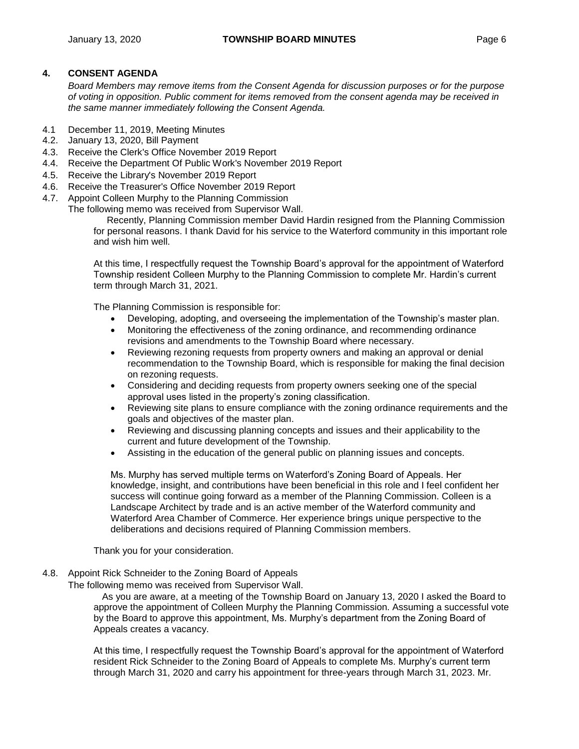# **4. CONSENT AGENDA**

*Board Members may remove items from the Consent Agenda for discussion purposes or for the purpose of voting in opposition. Public comment for items removed from the consent agenda may be received in the same manner immediately following the Consent Agenda.*

- 4.1 December 11, 2019, Meeting Minutes
- 4.2. January 13, 2020, Bill Payment
- 4.3. Receive the Clerk's Office November 2019 Report
- 4.4. Receive the Department Of Public Work's November 2019 Report
- 4.5. Receive the Library's November 2019 Report
- 4.6. Receive the Treasurer's Office November 2019 Report
- 4.7. Appoint Colleen Murphy to the Planning Commission

The following memo was received from Supervisor Wall.

Recently, Planning Commission member David Hardin resigned from the Planning Commission for personal reasons. I thank David for his service to the Waterford community in this important role and wish him well.

At this time, I respectfully request the Township Board's approval for the appointment of Waterford Township resident Colleen Murphy to the Planning Commission to complete Mr. Hardin's current term through March 31, 2021.

The Planning Commission is responsible for:

- Developing, adopting, and overseeing the implementation of the Township's master plan.
- Monitoring the effectiveness of the zoning ordinance, and recommending ordinance revisions and amendments to the Township Board where necessary.
- Reviewing rezoning requests from property owners and making an approval or denial recommendation to the Township Board, which is responsible for making the final decision on rezoning requests.
- Considering and deciding requests from property owners seeking one of the special approval uses listed in the property's zoning classification.
- Reviewing site plans to ensure compliance with the zoning ordinance requirements and the goals and objectives of the master plan.
- Reviewing and discussing planning concepts and issues and their applicability to the current and future development of the Township.
- Assisting in the education of the general public on planning issues and concepts.

Ms. Murphy has served multiple terms on Waterford's Zoning Board of Appeals. Her knowledge, insight, and contributions have been beneficial in this role and I feel confident her success will continue going forward as a member of the Planning Commission. Colleen is a Landscape Architect by trade and is an active member of the Waterford community and Waterford Area Chamber of Commerce. Her experience brings unique perspective to the deliberations and decisions required of Planning Commission members.

Thank you for your consideration.

4.8. Appoint Rick Schneider to the Zoning Board of Appeals

The following memo was received from Supervisor Wall.

As you are aware, at a meeting of the Township Board on January 13, 2020 I asked the Board to approve the appointment of Colleen Murphy the Planning Commission. Assuming a successful vote by the Board to approve this appointment, Ms. Murphy's department from the Zoning Board of Appeals creates a vacancy.

At this time, I respectfully request the Township Board's approval for the appointment of Waterford resident Rick Schneider to the Zoning Board of Appeals to complete Ms. Murphy's current term through March 31, 2020 and carry his appointment for three-years through March 31, 2023. Mr.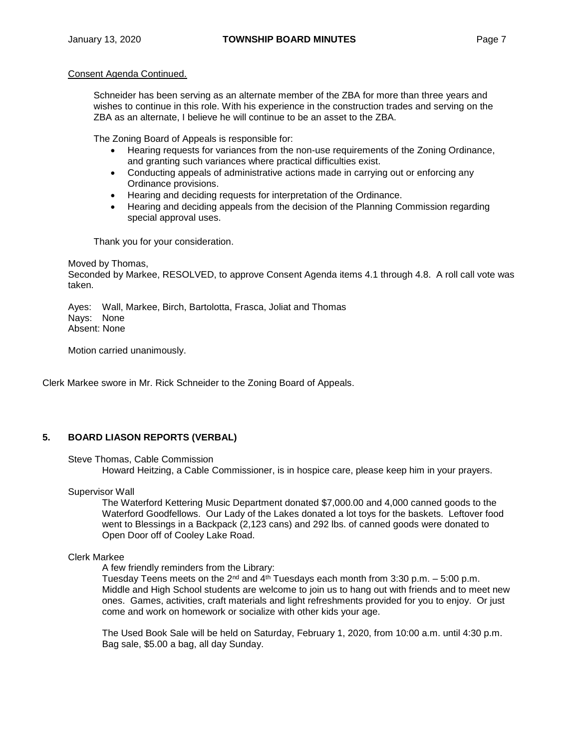Schneider has been serving as an alternate member of the ZBA for more than three years and wishes to continue in this role. With his experience in the construction trades and serving on the ZBA as an alternate, I believe he will continue to be an asset to the ZBA.

The Zoning Board of Appeals is responsible for:

- Hearing requests for variances from the non-use requirements of the [Zoning Ordinance,](http://twp.waterford.mi.us/Departments/Community-Planning-and-Development/Zoning-Ordinance.aspx) and granting such variances where practical difficulties exist.
- Conducting appeals of administrative actions made in carrying out or enforcing any Ordinance provisions.
- Hearing and deciding requests for interpretation of the Ordinance.
- Hearing and deciding appeals from the decision of the Planning Commission regarding special approval uses.

Thank you for your consideration.

Moved by Thomas, Seconded by Markee, RESOLVED, to approve Consent Agenda items 4.1 through 4.8. A roll call vote was taken.

Ayes: Wall, Markee, Birch, Bartolotta, Frasca, Joliat and Thomas Nays: None Absent: None

Motion carried unanimously.

Clerk Markee swore in Mr. Rick Schneider to the Zoning Board of Appeals.

# **5. BOARD LIASON REPORTS (VERBAL)**

## Steve Thomas, Cable Commission

Howard Heitzing, a Cable Commissioner, is in hospice care, please keep him in your prayers.

Supervisor Wall

The Waterford Kettering Music Department donated \$7,000.00 and 4,000 canned goods to the Waterford Goodfellows. Our Lady of the Lakes donated a lot toys for the baskets. Leftover food went to Blessings in a Backpack (2,123 cans) and 292 lbs. of canned goods were donated to Open Door off of Cooley Lake Road.

## Clerk Markee

A few friendly reminders from the Library:

Tuesday Teens meets on the 2<sup>nd</sup> and 4<sup>th</sup> Tuesdays each month from 3:30 p.m.  $-5:00$  p.m. Middle and High School students are welcome to join us to hang out with friends and to meet new ones. Games, activities, craft materials and light refreshments provided for you to enjoy. Or just come and work on homework or socialize with other kids your age.

The Used Book Sale will be held on Saturday, February 1, 2020, from 10:00 a.m. until 4:30 p.m. Bag sale, \$5.00 a bag, all day Sunday.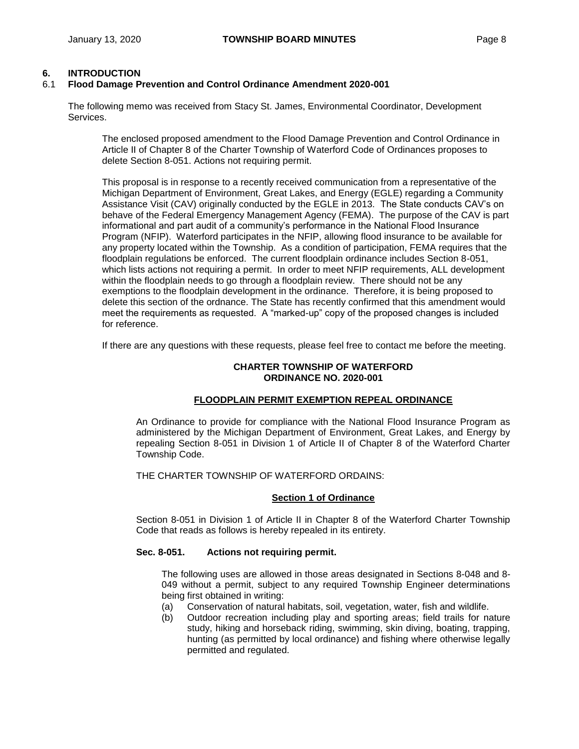# **6. INTRODUCTION**

## 6.1 **Flood Damage Prevention and Control Ordinance Amendment 2020-001**

The following memo was received from Stacy St. James, Environmental Coordinator, Development Services.

The enclosed proposed amendment to the Flood Damage Prevention and Control Ordinance in Article II of Chapter 8 of the Charter Township of Waterford Code of Ordinances proposes to delete Section 8-051. Actions not requiring permit.

This proposal is in response to a recently received communication from a representative of the Michigan Department of Environment, Great Lakes, and Energy (EGLE) regarding a Community Assistance Visit (CAV) originally conducted by the EGLE in 2013. The State conducts CAV's on behave of the Federal Emergency Management Agency (FEMA). The purpose of the CAV is part informational and part audit of a community's performance in the National Flood Insurance Program (NFIP). Waterford participates in the NFIP, allowing flood insurance to be available for any property located within the Township. As a condition of participation, FEMA requires that the floodplain regulations be enforced. The current floodplain ordinance includes Section 8-051, which lists actions not requiring a permit. In order to meet NFIP requirements, ALL development within the floodplain needs to go through a floodplain review. There should not be any exemptions to the floodplain development in the ordinance. Therefore, it is being proposed to delete this section of the ordnance. The State has recently confirmed that this amendment would meet the requirements as requested. A "marked-up" copy of the proposed changes is included for reference.

If there are any questions with these requests, please feel free to contact me before the meeting.

## **CHARTER TOWNSHIP OF WATERFORD ORDINANCE NO. 2020-001**

## **FLOODPLAIN PERMIT EXEMPTION REPEAL ORDINANCE**

An Ordinance to provide for compliance with the National Flood Insurance Program as administered by the Michigan Department of Environment, Great Lakes, and Energy by repealing Section 8-051 in Division 1 of Article II of Chapter 8 of the Waterford Charter Township Code.

THE CHARTER TOWNSHIP OF WATERFORD ORDAINS:

## **Section 1 of Ordinance**

Section 8-051 in Division 1 of Article II in Chapter 8 of the Waterford Charter Township Code that reads as follows is hereby repealed in its entirety.

## **Sec. 8-051. Actions not requiring permit.**

The following uses are allowed in those areas designated in Sections 8-048 and 8- 049 without a permit, subject to any required Township Engineer determinations being first obtained in writing:

- (a) Conservation of natural habitats, soil, vegetation, water, fish and wildlife.
- (b) Outdoor recreation including play and sporting areas; field trails for nature study, hiking and horseback riding, swimming, skin diving, boating, trapping, hunting (as permitted by local ordinance) and fishing where otherwise legally permitted and regulated.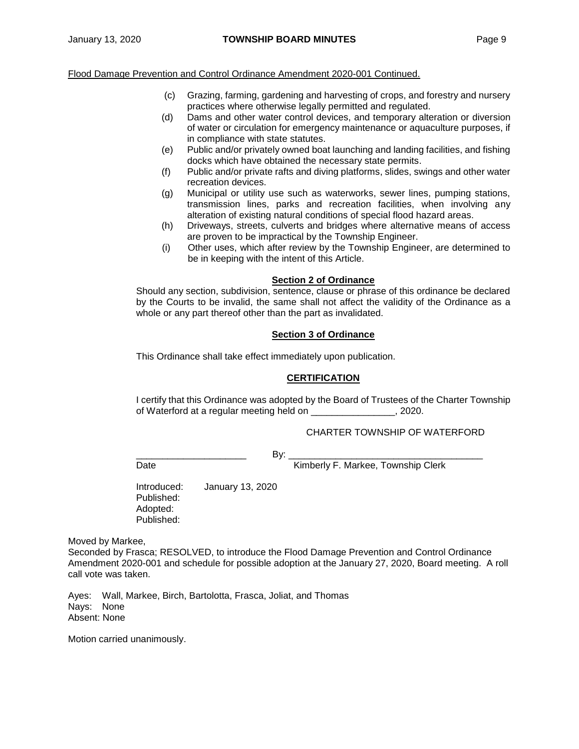#### Flood Damage Prevention and Control Ordinance Amendment 2020-001 Continued.

- (c) Grazing, farming, gardening and harvesting of crops, and forestry and nursery practices where otherwise legally permitted and regulated.
- (d) Dams and other water control devices, and temporary alteration or diversion of water or circulation for emergency maintenance or aquaculture purposes, if in compliance with state statutes.
- (e) Public and/or privately owned boat launching and landing facilities, and fishing docks which have obtained the necessary state permits.
- (f) Public and/or private rafts and diving platforms, slides, swings and other water recreation devices.
- (g) Municipal or utility use such as waterworks, sewer lines, pumping stations, transmission lines, parks and recreation facilities, when involving any alteration of existing natural conditions of special flood hazard areas.
- (h) Driveways, streets, culverts and bridges where alternative means of access are proven to be impractical by the Township Engineer.
- (i) Other uses, which after review by the Township Engineer, are determined to be in keeping with the intent of this Article.

#### **Section 2 of Ordinance**

Should any section, subdivision, sentence, clause or phrase of this ordinance be declared by the Courts to be invalid, the same shall not affect the validity of the Ordinance as a whole or any part thereof other than the part as invalidated.

## **Section 3 of Ordinance**

This Ordinance shall take effect immediately upon publication.

## **CERTIFICATION**

I certify that this Ordinance was adopted by the Board of Trustees of the Charter Township of Waterford at a regular meeting held on \_\_\_\_\_\_\_\_\_\_\_\_\_\_\_\_, 2020.

## CHARTER TOWNSHIP OF WATERFORD

\_\_\_\_\_\_\_\_\_\_\_\_\_\_\_\_\_\_\_\_\_ By: \_\_\_\_\_\_\_\_\_\_\_\_\_\_\_\_\_\_\_\_\_\_\_\_\_\_\_\_\_\_\_\_\_\_\_\_\_

Date **Date Kimberly F. Markee, Township Clerk** 

Introduced: January 13, 2020 Published: Adopted: Published:

Moved by Markee,

Seconded by Frasca; RESOLVED, to introduce the Flood Damage Prevention and Control Ordinance Amendment 2020-001 and schedule for possible adoption at the January 27, 2020, Board meeting. A roll call vote was taken.

Ayes: Wall, Markee, Birch, Bartolotta, Frasca, Joliat, and Thomas Nays: None Absent: None

Motion carried unanimously.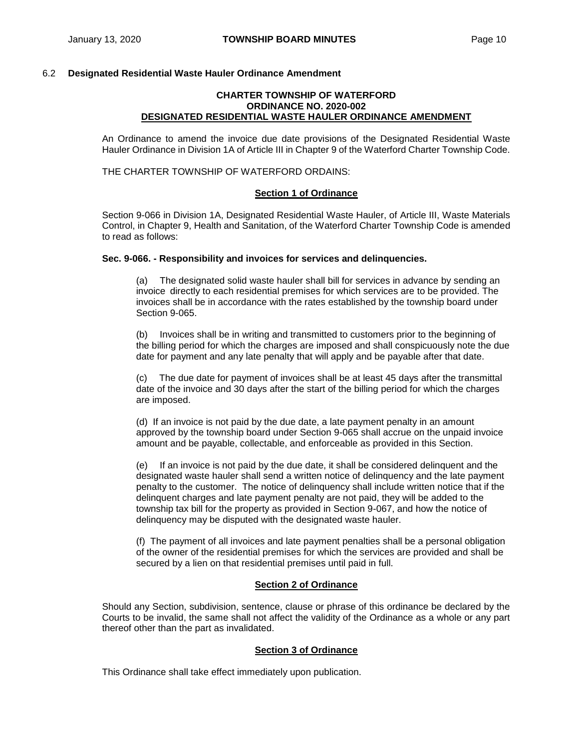## 6.2 **Designated Residential Waste Hauler Ordinance Amendment**

#### **CHARTER TOWNSHIP OF WATERFORD ORDINANCE NO. 2020-002 DESIGNATED RESIDENTIAL WASTE HAULER ORDINANCE AMENDMENT**

An Ordinance to amend the invoice due date provisions of the Designated Residential Waste Hauler Ordinance in Division 1A of Article III in Chapter 9 of the Waterford Charter Township Code.

THE CHARTER TOWNSHIP OF WATERFORD ORDAINS:

#### **Section 1 of Ordinance**

Section 9-066 in Division 1A, Designated Residential Waste Hauler, of Article III, Waste Materials Control, in Chapter 9, Health and Sanitation, of the Waterford Charter Township Code is amended to read as follows:

#### **Sec. 9-066. - Responsibility and invoices for services and delinquencies.**

(a) The designated solid waste hauler shall bill for services in advance by sending an invoice directly to each residential premises for which services are to be provided. The invoices shall be in accordance with the rates established by the township board under Section 9-065.

(b) Invoices shall be in writing and transmitted to customers prior to the beginning of the billing period for which the charges are imposed and shall conspicuously note the due date for payment and any late penalty that will apply and be payable after that date.

(c) The due date for payment of invoices shall be at least 45 days after the transmittal date of the invoice and 30 days after the start of the billing period for which the charges are imposed.

(d) If an invoice is not paid by the due date, a late payment penalty in an amount approved by the township board under Section 9-065 shall accrue on the unpaid invoice amount and be payable, collectable, and enforceable as provided in this Section.

(e) If an invoice is not paid by the due date, it shall be considered delinquent and the designated waste hauler shall send a written notice of delinquency and the late payment penalty to the customer. The notice of delinquency shall include written notice that if the delinquent charges and late payment penalty are not paid, they will be added to the township tax bill for the property as provided in Section 9-067, and how the notice of delinquency may be disputed with the designated waste hauler.

(f) The payment of all invoices and late payment penalties shall be a personal obligation of the owner of the residential premises for which the services are provided and shall be secured by a lien on that residential premises until paid in full.

## **Section 2 of Ordinance**

Should any Section, subdivision, sentence, clause or phrase of this ordinance be declared by the Courts to be invalid, the same shall not affect the validity of the Ordinance as a whole or any part thereof other than the part as invalidated.

## **Section 3 of Ordinance**

This Ordinance shall take effect immediately upon publication.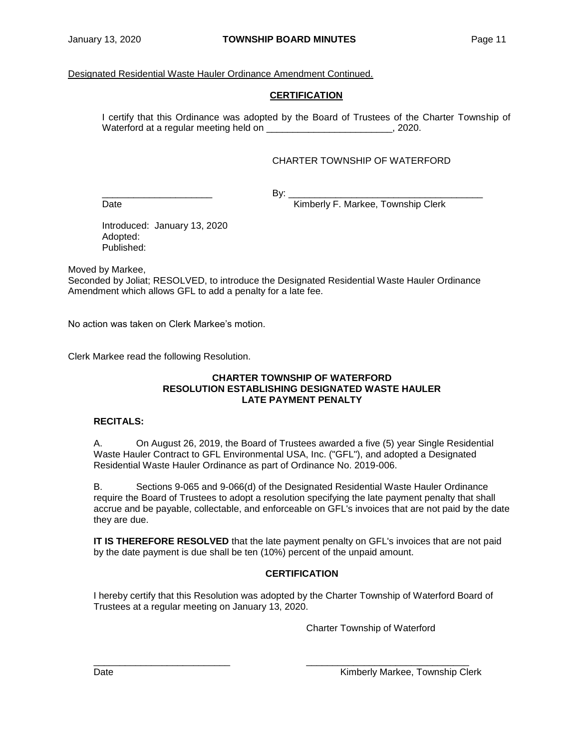# Designated Residential Waste Hauler Ordinance Amendment Continued.

# **CERTIFICATION**

I certify that this Ordinance was adopted by the Board of Trustees of the Charter Township of Waterford at a regular meeting held on example 2020.

# CHARTER TOWNSHIP OF WATERFORD

\_\_\_\_\_\_\_\_\_\_\_\_\_\_\_\_\_\_\_\_\_ By: \_\_\_\_\_\_\_\_\_\_\_\_\_\_\_\_\_\_\_\_\_\_\_\_\_\_\_\_\_\_\_\_\_\_\_\_\_ Date **Contract Contract Contract Contract Contract Contract Contract Contract Contract Contract Contract Contract Contract Contract Contract Contract Contract Contract Contract Contract Contract Contract Contract Contract** 

Introduced: January 13, 2020 Adopted: Published:

Moved by Markee,

Seconded by Joliat; RESOLVED, to introduce the Designated Residential Waste Hauler Ordinance Amendment which allows GFL to add a penalty for a late fee.

No action was taken on Clerk Markee's motion.

Clerk Markee read the following Resolution.

#### **CHARTER TOWNSHIP OF WATERFORD RESOLUTION ESTABLISHING DESIGNATED WASTE HAULER LATE PAYMENT PENALTY**

# **RECITALS:**

A. On August 26, 2019, the Board of Trustees awarded a five (5) year Single Residential Waste Hauler Contract to GFL Environmental USA, Inc. ("GFL"), and adopted a Designated Residential Waste Hauler Ordinance as part of Ordinance No. 2019-006.

B. Sections 9-065 and 9-066(d) of the Designated Residential Waste Hauler Ordinance require the Board of Trustees to adopt a resolution specifying the late payment penalty that shall accrue and be payable, collectable, and enforceable on GFL's invoices that are not paid by the date they are due.

**IT IS THEREFORE RESOLVED** that the late payment penalty on GFL's invoices that are not paid by the date payment is due shall be ten (10%) percent of the unpaid amount.

# **CERTIFICATION**

I hereby certify that this Resolution was adopted by the Charter Township of Waterford Board of Trustees at a regular meeting on January 13, 2020.

\_\_\_\_\_\_\_\_\_\_\_\_\_\_\_\_\_\_\_\_\_\_\_\_\_\_ \_\_\_\_\_\_\_\_\_\_\_\_\_\_\_\_\_\_\_\_\_\_\_\_\_\_\_\_\_\_\_

Charter Township of Waterford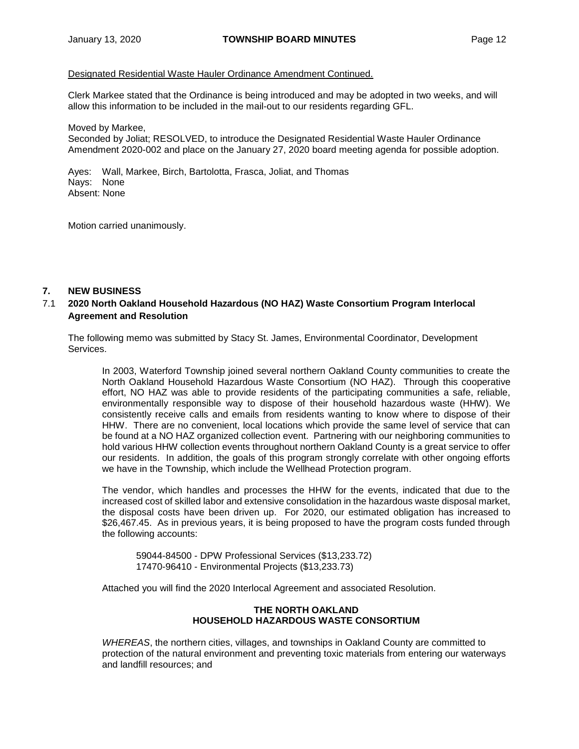## Designated Residential Waste Hauler Ordinance Amendment Continued.

Clerk Markee stated that the Ordinance is being introduced and may be adopted in two weeks, and will allow this information to be included in the mail-out to our residents regarding GFL.

Moved by Markee, Seconded by Joliat; RESOLVED, to introduce the Designated Residential Waste Hauler Ordinance Amendment 2020-002 and place on the January 27, 2020 board meeting agenda for possible adoption.

Ayes: Wall, Markee, Birch, Bartolotta, Frasca, Joliat, and Thomas Nays: None Absent: None

Motion carried unanimously.

## **7. NEW BUSINESS**

## 7.1 **2020 North Oakland Household Hazardous (NO HAZ) Waste Consortium Program Interlocal Agreement and Resolution**

The following memo was submitted by Stacy St. James, Environmental Coordinator, Development Services.

In 2003, Waterford Township joined several northern Oakland County communities to create the North Oakland Household Hazardous Waste Consortium (NO HAZ). Through this cooperative effort, NO HAZ was able to provide residents of the participating communities a safe, reliable, environmentally responsible way to dispose of their household hazardous waste (HHW). We consistently receive calls and emails from residents wanting to know where to dispose of their HHW. There are no convenient, local locations which provide the same level of service that can be found at a NO HAZ organized collection event. Partnering with our neighboring communities to hold various HHW collection events throughout northern Oakland County is a great service to offer our residents. In addition, the goals of this program strongly correlate with other ongoing efforts we have in the Township, which include the Wellhead Protection program.

The vendor, which handles and processes the HHW for the events, indicated that due to the increased cost of skilled labor and extensive consolidation in the hazardous waste disposal market, the disposal costs have been driven up. For 2020, our estimated obligation has increased to \$26,467.45. As in previous years, it is being proposed to have the program costs funded through the following accounts:

59044-84500 - DPW Professional Services (\$13,233.72) 17470-96410 - Environmental Projects (\$13,233.73)

Attached you will find the 2020 Interlocal Agreement and associated Resolution.

## **THE NORTH OAKLAND HOUSEHOLD HAZARDOUS WASTE CONSORTIUM**

*WHEREAS*, the northern cities, villages, and townships in Oakland County are committed to protection of the natural environment and preventing toxic materials from entering our waterways and landfill resources; and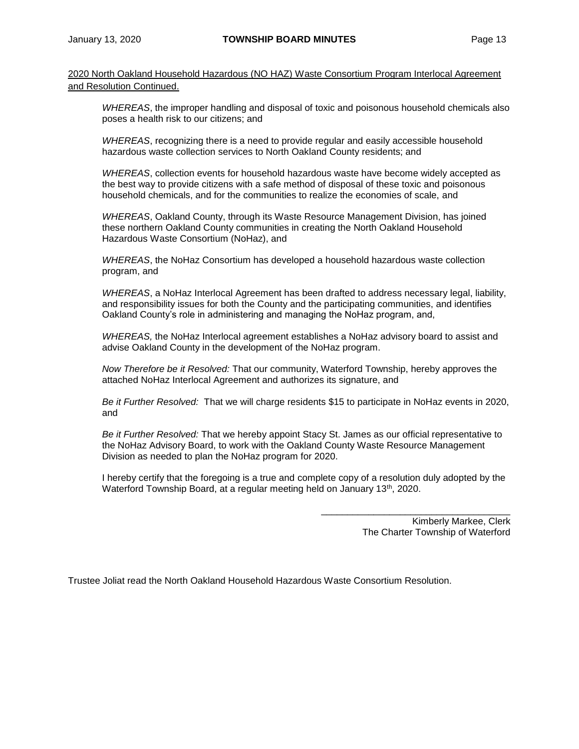2020 North Oakland Household Hazardous (NO HAZ) Waste Consortium Program Interlocal Agreement and Resolution Continued.

*WHEREAS*, the improper handling and disposal of toxic and poisonous household chemicals also poses a health risk to our citizens; and

*WHEREAS*, recognizing there is a need to provide regular and easily accessible household hazardous waste collection services to North Oakland County residents; and

*WHEREAS*, collection events for household hazardous waste have become widely accepted as the best way to provide citizens with a safe method of disposal of these toxic and poisonous household chemicals, and for the communities to realize the economies of scale, and

*WHEREAS*, Oakland County, through its Waste Resource Management Division, has joined these northern Oakland County communities in creating the North Oakland Household Hazardous Waste Consortium (NoHaz), and

*WHEREAS*, the NoHaz Consortium has developed a household hazardous waste collection program, and

*WHEREAS*, a NoHaz Interlocal Agreement has been drafted to address necessary legal, liability, and responsibility issues for both the County and the participating communities, and identifies Oakland County's role in administering and managing the NoHaz program, and,

*WHEREAS,* the NoHaz Interlocal agreement establishes a NoHaz advisory board to assist and advise Oakland County in the development of the NoHaz program.

*Now Therefore be it Resolved:* That our community, Waterford Township, hereby approves the attached NoHaz Interlocal Agreement and authorizes its signature, and

*Be it Further Resolved:* That we will charge residents \$15 to participate in NoHaz events in 2020, and

*Be it Further Resolved:* That we hereby appoint Stacy St. James as our official representative to the NoHaz Advisory Board, to work with the Oakland County Waste Resource Management Division as needed to plan the NoHaz program for 2020.

I hereby certify that the foregoing is a true and complete copy of a resolution duly adopted by the Waterford Township Board, at a regular meeting held on January 13<sup>th</sup>, 2020.

> Kimberly Markee, Clerk The Charter Township of Waterford

 $\overline{\phantom{a}}$  ,  $\overline{\phantom{a}}$  ,  $\overline{\phantom{a}}$  ,  $\overline{\phantom{a}}$  ,  $\overline{\phantom{a}}$  ,  $\overline{\phantom{a}}$  ,  $\overline{\phantom{a}}$  ,  $\overline{\phantom{a}}$  ,  $\overline{\phantom{a}}$  ,  $\overline{\phantom{a}}$  ,  $\overline{\phantom{a}}$  ,  $\overline{\phantom{a}}$  ,  $\overline{\phantom{a}}$  ,  $\overline{\phantom{a}}$  ,  $\overline{\phantom{a}}$  ,  $\overline{\phantom{a}}$ 

Trustee Joliat read the North Oakland Household Hazardous Waste Consortium Resolution.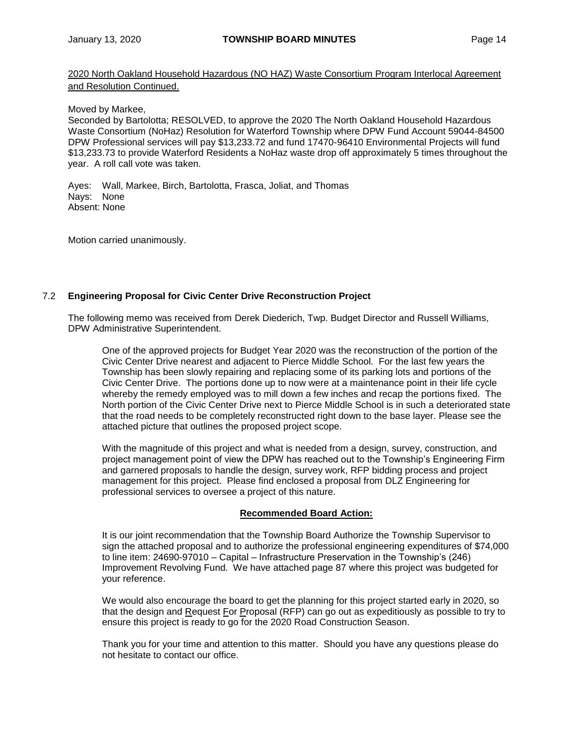2020 North Oakland Household Hazardous (NO HAZ) Waste Consortium Program Interlocal Agreement and Resolution Continued.

## Moved by Markee,

Seconded by Bartolotta; RESOLVED, to approve the 2020 The North Oakland Household Hazardous Waste Consortium (NoHaz) Resolution for Waterford Township where DPW Fund Account 59044-84500 DPW Professional services will pay \$13,233.72 and fund 17470-96410 Environmental Projects will fund \$13,233.73 to provide Waterford Residents a NoHaz waste drop off approximately 5 times throughout the year. A roll call vote was taken.

Ayes: Wall, Markee, Birch, Bartolotta, Frasca, Joliat, and Thomas Nays: None Absent: None

Motion carried unanimously.

# 7.2 **Engineering Proposal for Civic Center Drive Reconstruction Project**

The following memo was received from Derek Diederich, Twp. Budget Director and Russell Williams, DPW Administrative Superintendent.

One of the approved projects for Budget Year 2020 was the reconstruction of the portion of the Civic Center Drive nearest and adjacent to Pierce Middle School. For the last few years the Township has been slowly repairing and replacing some of its parking lots and portions of the Civic Center Drive. The portions done up to now were at a maintenance point in their life cycle whereby the remedy employed was to mill down a few inches and recap the portions fixed. The North portion of the Civic Center Drive next to Pierce Middle School is in such a deteriorated state that the road needs to be completely reconstructed right down to the base layer. Please see the attached picture that outlines the proposed project scope.

With the magnitude of this project and what is needed from a design, survey, construction, and project management point of view the DPW has reached out to the Township's Engineering Firm and garnered proposals to handle the design, survey work, RFP bidding process and project management for this project. Please find enclosed a proposal from DLZ Engineering for professional services to oversee a project of this nature.

# **Recommended Board Action:**

It is our joint recommendation that the Township Board Authorize the Township Supervisor to sign the attached proposal and to authorize the professional engineering expenditures of \$74,000 to line item: 24690-97010 – Capital – Infrastructure Preservation in the Township's (246) Improvement Revolving Fund. We have attached page 87 where this project was budgeted for your reference.

We would also encourage the board to get the planning for this project started early in 2020, so that the design and Request For Proposal (RFP) can go out as expeditiously as possible to try to ensure this project is ready to go for the 2020 Road Construction Season.

Thank you for your time and attention to this matter. Should you have any questions please do not hesitate to contact our office.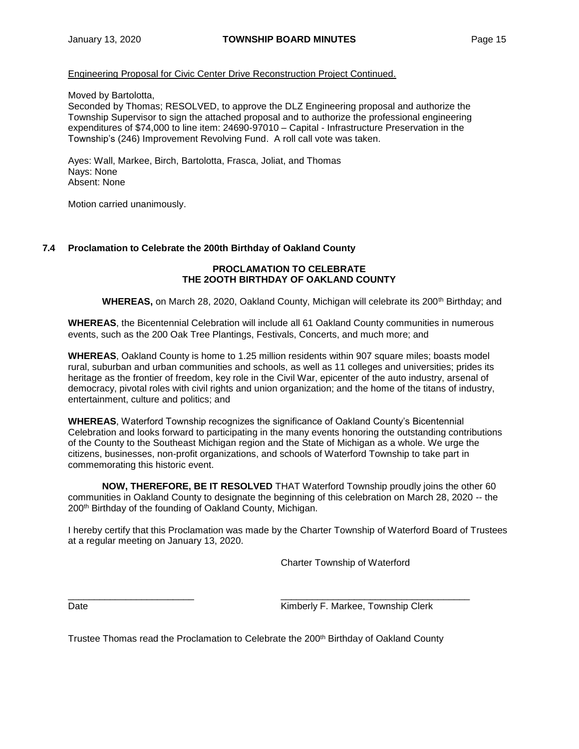## Engineering Proposal for Civic Center Drive Reconstruction Project Continued.

Moved by Bartolotta,

Seconded by Thomas; RESOLVED, to approve the DLZ Engineering proposal and authorize the Township Supervisor to sign the attached proposal and to authorize the professional engineering expenditures of \$74,000 to line item: 24690-97010 – Capital - Infrastructure Preservation in the Township's (246) Improvement Revolving Fund. A roll call vote was taken.

Ayes: Wall, Markee, Birch, Bartolotta, Frasca, Joliat, and Thomas Nays: None Absent: None

Motion carried unanimously.

## **7.4 Proclamation to Celebrate the 200th Birthday of Oakland County**

## **PROCLAMATION TO CELEBRATE THE 2OOTH BIRTHDAY OF OAKLAND COUNTY**

**WHEREAS, on March 28, 2020, Oakland County, Michigan will celebrate its 200<sup>th</sup> Birthday; and** 

**WHEREAS**, the Bicentennial Celebration will include all 61 Oakland County communities in numerous events, such as the 200 Oak Tree Plantings, Festivals, Concerts, and much more; and

**WHEREAS**, Oakland County is home to 1.25 million residents within 907 square miles; boasts model rural, suburban and urban communities and schools, as well as 11 colleges and universities; prides its heritage as the frontier of freedom, key role in the Civil War, epicenter of the auto industry, arsenal of democracy, pivotal roles with civil rights and union organization; and the home of the titans of industry, entertainment, culture and politics; and

**WHEREAS**, Waterford Township recognizes the significance of Oakland County's Bicentennial Celebration and looks forward to participating in the many events honoring the outstanding contributions of the County to the Southeast Michigan region and the State of Michigan as a whole. We urge the citizens, businesses, non-profit organizations, and schools of Waterford Township to take part in commemorating this historic event.

**NOW, THEREFORE, BE IT RESOLVED** THAT Waterford Township proudly joins the other 60 communities in Oakland County to designate the beginning of this celebration on March 28, 2020 -- the 200<sup>th</sup> Birthday of the founding of Oakland County, Michigan.

I hereby certify that this Proclamation was made by the Charter Township of Waterford Board of Trustees at a regular meeting on January 13, 2020.

Charter Township of Waterford

Date **Communist Communist Communist Communist Communist Communist Communist Communist Communist Communist Communist Communist Communist Communist Communist Communist Communist Communist Communist Communist Communist Commun** 

Trustee Thomas read the Proclamation to Celebrate the 200<sup>th</sup> Birthday of Oakland County

\_\_\_\_\_\_\_\_\_\_\_\_\_\_\_\_\_\_\_\_\_\_\_\_ \_\_\_\_\_\_\_\_\_\_\_\_\_\_\_\_\_\_\_\_\_\_\_\_\_\_\_\_\_\_\_\_\_\_\_\_